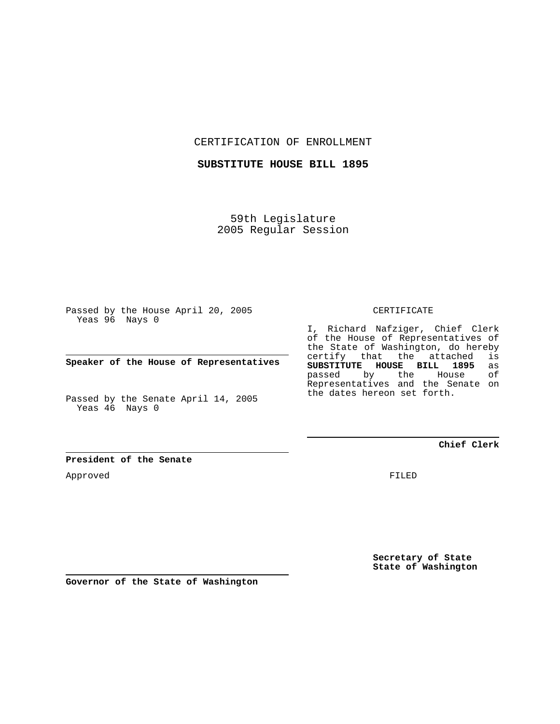CERTIFICATION OF ENROLLMENT

**SUBSTITUTE HOUSE BILL 1895**

59th Legislature 2005 Regular Session

Passed by the House April 20, 2005 Yeas 96 Nays 0

**Speaker of the House of Representatives**

Passed by the Senate April 14, 2005 Yeas 46 Nays 0

**President of the Senate**

Approved

CERTIFICATE

I, Richard Nafziger, Chief Clerk of the House of Representatives of the State of Washington, do hereby certify that the attached is **SUBSTITUTE HOUSE BILL 1895** as passed by the House Representatives and the Senate on the dates hereon set forth.

**Chief Clerk**

FILED

**Secretary of State State of Washington**

**Governor of the State of Washington**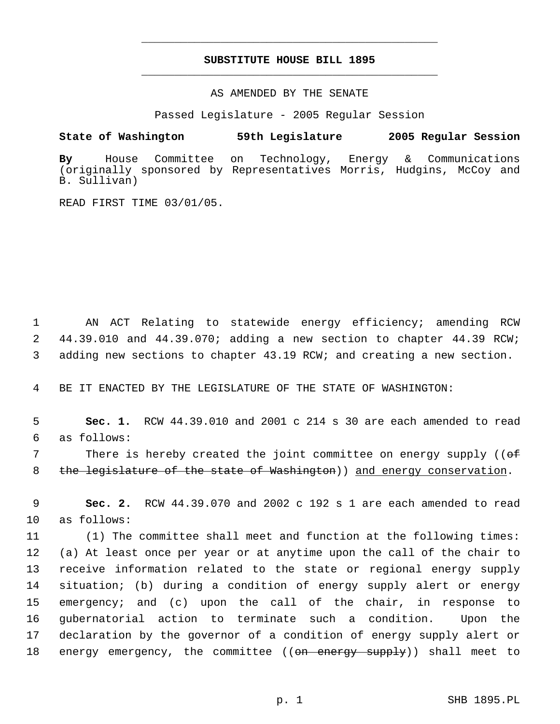## **SUBSTITUTE HOUSE BILL 1895** \_\_\_\_\_\_\_\_\_\_\_\_\_\_\_\_\_\_\_\_\_\_\_\_\_\_\_\_\_\_\_\_\_\_\_\_\_\_\_\_\_\_\_\_\_

\_\_\_\_\_\_\_\_\_\_\_\_\_\_\_\_\_\_\_\_\_\_\_\_\_\_\_\_\_\_\_\_\_\_\_\_\_\_\_\_\_\_\_\_\_

## AS AMENDED BY THE SENATE

Passed Legislature - 2005 Regular Session

## **State of Washington 59th Legislature 2005 Regular Session**

**By** House Committee on Technology, Energy & Communications (originally sponsored by Representatives Morris, Hudgins, McCoy and B. Sullivan)

READ FIRST TIME 03/01/05.

 1 AN ACT Relating to statewide energy efficiency; amending RCW 2 44.39.010 and 44.39.070; adding a new section to chapter 44.39 RCW; 3 adding new sections to chapter 43.19 RCW; and creating a new section.

4 BE IT ENACTED BY THE LEGISLATURE OF THE STATE OF WASHINGTON:

 5 **Sec. 1.** RCW 44.39.010 and 2001 c 214 s 30 are each amended to read 6 as follows:

7 There is hereby created the joint committee on energy supply ((of 8 the legislature of the state of Washington) and energy conservation.

 9 **Sec. 2.** RCW 44.39.070 and 2002 c 192 s 1 are each amended to read 10 as follows:

 (1) The committee shall meet and function at the following times: (a) At least once per year or at anytime upon the call of the chair to receive information related to the state or regional energy supply situation; (b) during a condition of energy supply alert or energy emergency; and (c) upon the call of the chair, in response to gubernatorial action to terminate such a condition. Upon the declaration by the governor of a condition of energy supply alert or 18 energy emergency, the committee ((<del>on energy supply</del>)) shall meet to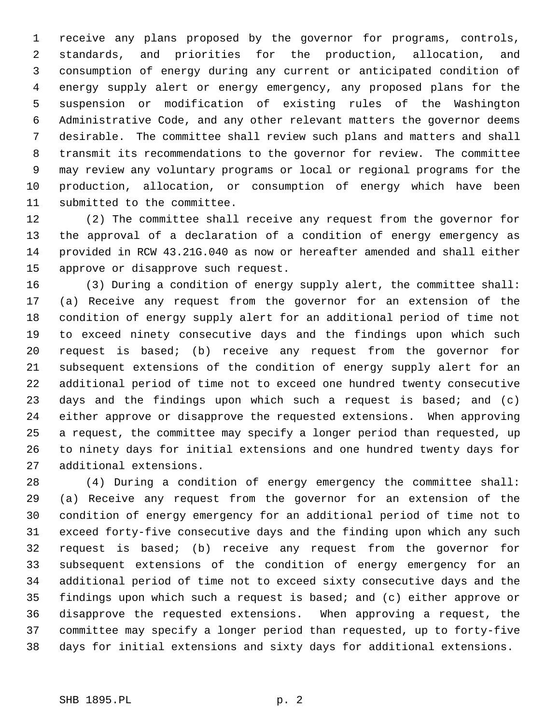receive any plans proposed by the governor for programs, controls, standards, and priorities for the production, allocation, and consumption of energy during any current or anticipated condition of energy supply alert or energy emergency, any proposed plans for the suspension or modification of existing rules of the Washington Administrative Code, and any other relevant matters the governor deems desirable. The committee shall review such plans and matters and shall transmit its recommendations to the governor for review. The committee may review any voluntary programs or local or regional programs for the production, allocation, or consumption of energy which have been submitted to the committee.

 (2) The committee shall receive any request from the governor for the approval of a declaration of a condition of energy emergency as provided in RCW 43.21G.040 as now or hereafter amended and shall either approve or disapprove such request.

 (3) During a condition of energy supply alert, the committee shall: (a) Receive any request from the governor for an extension of the condition of energy supply alert for an additional period of time not to exceed ninety consecutive days and the findings upon which such request is based; (b) receive any request from the governor for subsequent extensions of the condition of energy supply alert for an additional period of time not to exceed one hundred twenty consecutive days and the findings upon which such a request is based; and (c) either approve or disapprove the requested extensions. When approving a request, the committee may specify a longer period than requested, up to ninety days for initial extensions and one hundred twenty days for additional extensions.

 (4) During a condition of energy emergency the committee shall: (a) Receive any request from the governor for an extension of the condition of energy emergency for an additional period of time not to exceed forty-five consecutive days and the finding upon which any such request is based; (b) receive any request from the governor for subsequent extensions of the condition of energy emergency for an additional period of time not to exceed sixty consecutive days and the findings upon which such a request is based; and (c) either approve or disapprove the requested extensions. When approving a request, the committee may specify a longer period than requested, up to forty-five days for initial extensions and sixty days for additional extensions.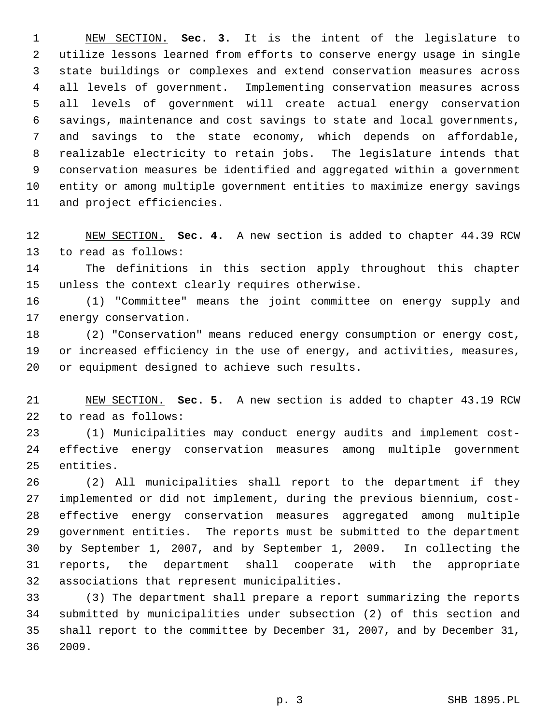NEW SECTION. **Sec. 3.** It is the intent of the legislature to utilize lessons learned from efforts to conserve energy usage in single state buildings or complexes and extend conservation measures across all levels of government. Implementing conservation measures across all levels of government will create actual energy conservation savings, maintenance and cost savings to state and local governments, and savings to the state economy, which depends on affordable, realizable electricity to retain jobs. The legislature intends that conservation measures be identified and aggregated within a government entity or among multiple government entities to maximize energy savings and project efficiencies.

 NEW SECTION. **Sec. 4.** A new section is added to chapter 44.39 RCW to read as follows:

 The definitions in this section apply throughout this chapter unless the context clearly requires otherwise.

 (1) "Committee" means the joint committee on energy supply and energy conservation.

 (2) "Conservation" means reduced energy consumption or energy cost, or increased efficiency in the use of energy, and activities, measures, or equipment designed to achieve such results.

 NEW SECTION. **Sec. 5.** A new section is added to chapter 43.19 RCW to read as follows:

 (1) Municipalities may conduct energy audits and implement cost- effective energy conservation measures among multiple government entities.

 (2) All municipalities shall report to the department if they implemented or did not implement, during the previous biennium, cost- effective energy conservation measures aggregated among multiple government entities. The reports must be submitted to the department by September 1, 2007, and by September 1, 2009. In collecting the reports, the department shall cooperate with the appropriate associations that represent municipalities.

 (3) The department shall prepare a report summarizing the reports submitted by municipalities under subsection (2) of this section and shall report to the committee by December 31, 2007, and by December 31, 2009.